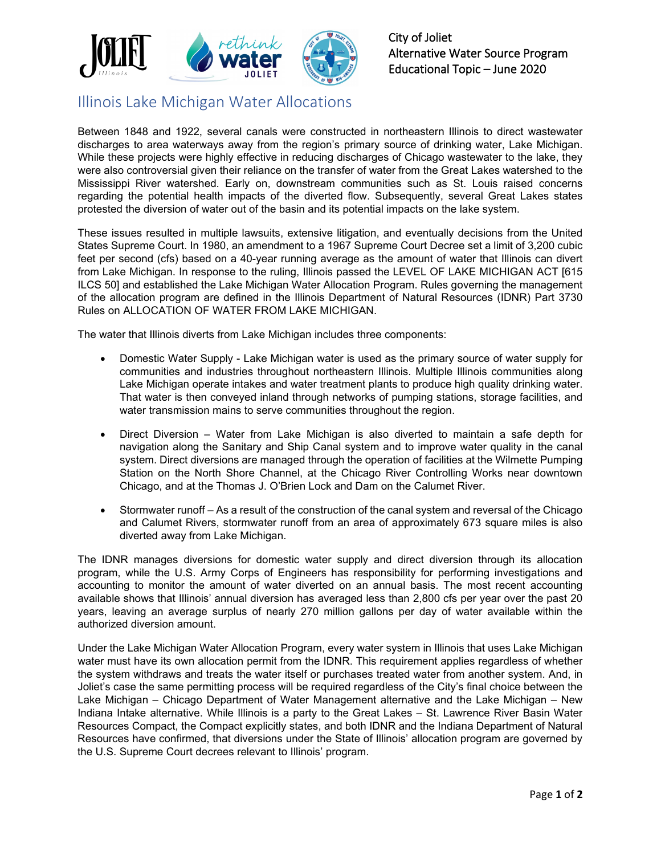

City of Joliet Alternative Water Source Program Educational Topic – June 2020

## Illinois Lake Michigan Water Allocations

Between 1848 and 1922, several canals were constructed in northeastern Illinois to direct wastewater discharges to area waterways away from the region's primary source of drinking water, Lake Michigan. While these projects were highly effective in reducing discharges of Chicago wastewater to the lake, they were also controversial given their reliance on the transfer of water from the Great Lakes watershed to the Mississippi River watershed. Early on, downstream communities such as St. Louis raised concerns regarding the potential health impacts of the diverted flow. Subsequently, several Great Lakes states protested the diversion of water out of the basin and its potential impacts on the lake system.

These issues resulted in multiple lawsuits, extensive litigation, and eventually decisions from the United States Supreme Court. In 1980, an amendment to a 1967 Supreme Court Decree set a limit of 3,200 cubic feet per second (cfs) based on a 40-year running average as the amount of water that Illinois can divert from Lake Michigan. In response to the ruling, Illinois passed the LEVEL OF LAKE MICHIGAN ACT [615 ILCS 50] and established the Lake Michigan Water Allocation Program. Rules governing the management of the allocation program are defined in the Illinois Department of Natural Resources (IDNR) Part 3730 Rules on ALLOCATION OF WATER FROM LAKE MICHIGAN.

The water that Illinois diverts from Lake Michigan includes three components:

- Domestic Water Supply Lake Michigan water is used as the primary source of water supply for communities and industries throughout northeastern Illinois. Multiple Illinois communities along Lake Michigan operate intakes and water treatment plants to produce high quality drinking water. That water is then conveyed inland through networks of pumping stations, storage facilities, and water transmission mains to serve communities throughout the region.
- Direct Diversion Water from Lake Michigan is also diverted to maintain a safe depth for navigation along the Sanitary and Ship Canal system and to improve water quality in the canal system. Direct diversions are managed through the operation of facilities at the Wilmette Pumping Station on the North Shore Channel, at the Chicago River Controlling Works near downtown Chicago, and at the Thomas J. O'Brien Lock and Dam on the Calumet River.
- Stormwater runoff As a result of the construction of the canal system and reversal of the Chicago and Calumet Rivers, stormwater runoff from an area of approximately 673 square miles is also diverted away from Lake Michigan.

The IDNR manages diversions for domestic water supply and direct diversion through its allocation program, while the U.S. Army Corps of Engineers has responsibility for performing investigations and accounting to monitor the amount of water diverted on an annual basis. The most recent accounting available shows that Illinois' annual diversion has averaged less than 2,800 cfs per year over the past 20 years, leaving an average surplus of nearly 270 million gallons per day of water available within the authorized diversion amount.

Under the Lake Michigan Water Allocation Program, every water system in Illinois that uses Lake Michigan water must have its own allocation permit from the IDNR. This requirement applies regardless of whether the system withdraws and treats the water itself or purchases treated water from another system. And, in Joliet's case the same permitting process will be required regardless of the City's final choice between the Lake Michigan – Chicago Department of Water Management alternative and the Lake Michigan – New Indiana Intake alternative. While Illinois is a party to the Great Lakes – St. Lawrence River Basin Water Resources Compact, the Compact explicitly states, and both IDNR and the Indiana Department of Natural Resources have confirmed, that diversions under the State of Illinois' allocation program are governed by the U.S. Supreme Court decrees relevant to Illinois' program.